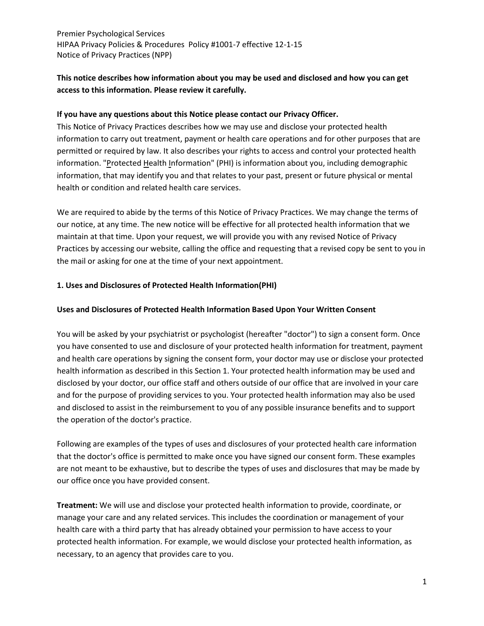Premier Psychological Services HIPAA Privacy Policies & Procedures Policy #1001-7 effective 12-1-15 Notice of Privacy Practices (NPP)

# **This notice describes how information about you may be used and disclosed and how you can get access to this information. Please review it carefully.**

### **If you have any questions about this Notice please contact our Privacy Officer.**

This Notice of Privacy Practices describes how we may use and disclose your protected health information to carry out treatment, payment or health care operations and for other purposes that are permitted or required by law. It also describes your rights to access and control your protected health information. "Protected Health Information" (PHI) is information about you, including demographic information, that may identify you and that relates to your past, present or future physical or mental health or condition and related health care services.

We are required to abide by the terms of this Notice of Privacy Practices. We may change the terms of our notice, at any time. The new notice will be effective for all protected health information that we maintain at that time. Upon your request, we will provide you with any revised Notice of Privacy Practices by accessing our website, calling the office and requesting that a revised copy be sent to you in the mail or asking for one at the time of your next appointment.

### **1. Uses and Disclosures of Protected Health Information(PHI)**

### **Uses and Disclosures of Protected Health Information Based Upon Your Written Consent**

You will be asked by your psychiatrist or psychologist (hereafter "doctor") to sign a consent form. Once you have consented to use and disclosure of your protected health information for treatment, payment and health care operations by signing the consent form, your doctor may use or disclose your protected health information as described in this Section 1. Your protected health information may be used and disclosed by your doctor, our office staff and others outside of our office that are involved in your care and for the purpose of providing services to you. Your protected health information may also be used and disclosed to assist in the reimbursement to you of any possible insurance benefits and to support the operation of the doctor's practice.

Following are examples of the types of uses and disclosures of your protected health care information that the doctor's office is permitted to make once you have signed our consent form. These examples are not meant to be exhaustive, but to describe the types of uses and disclosures that may be made by our office once you have provided consent.

**Treatment:** We will use and disclose your protected health information to provide, coordinate, or manage your care and any related services. This includes the coordination or management of your health care with a third party that has already obtained your permission to have access to your protected health information. For example, we would disclose your protected health information, as necessary, to an agency that provides care to you.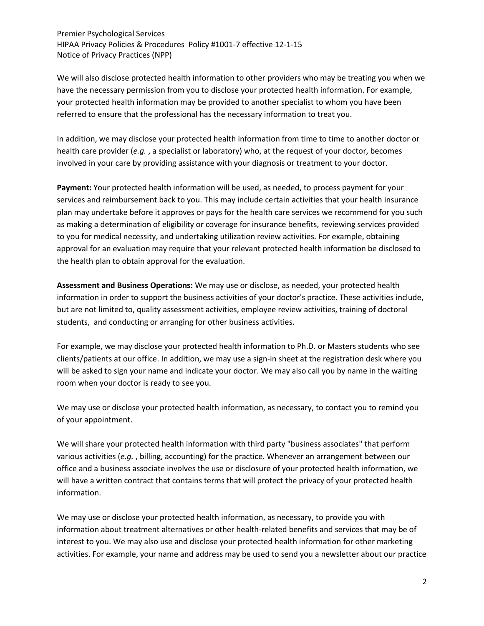Premier Psychological Services HIPAA Privacy Policies & Procedures Policy #1001-7 effective 12-1-15 Notice of Privacy Practices (NPP)

We will also disclose protected health information to other providers who may be treating you when we have the necessary permission from you to disclose your protected health information. For example, your protected health information may be provided to another specialist to whom you have been referred to ensure that the professional has the necessary information to treat you.

In addition, we may disclose your protected health information from time to time to another doctor or health care provider (*e.g.* , a specialist or laboratory) who, at the request of your doctor, becomes involved in your care by providing assistance with your diagnosis or treatment to your doctor.

**Payment:** Your protected health information will be used, as needed, to process payment for your services and reimbursement back to you. This may include certain activities that your health insurance plan may undertake before it approves or pays for the health care services we recommend for you such as making a determination of eligibility or coverage for insurance benefits, reviewing services provided to you for medical necessity, and undertaking utilization review activities. For example, obtaining approval for an evaluation may require that your relevant protected health information be disclosed to the health plan to obtain approval for the evaluation.

**Assessment and Business Operations:** We may use or disclose, as needed, your protected health information in order to support the business activities of your doctor's practice. These activities include, but are not limited to, quality assessment activities, employee review activities, training of doctoral students, and conducting or arranging for other business activities.

For example, we may disclose your protected health information to Ph.D. or Masters students who see clients/patients at our office. In addition, we may use a sign-in sheet at the registration desk where you will be asked to sign your name and indicate your doctor. We may also call you by name in the waiting room when your doctor is ready to see you.

We may use or disclose your protected health information, as necessary, to contact you to remind you of your appointment.

We will share your protected health information with third party "business associates" that perform various activities (*e.g.* , billing, accounting) for the practice. Whenever an arrangement between our office and a business associate involves the use or disclosure of your protected health information, we will have a written contract that contains terms that will protect the privacy of your protected health information.

We may use or disclose your protected health information, as necessary, to provide you with information about treatment alternatives or other health-related benefits and services that may be of interest to you. We may also use and disclose your protected health information for other marketing activities. For example, your name and address may be used to send you a newsletter about our practice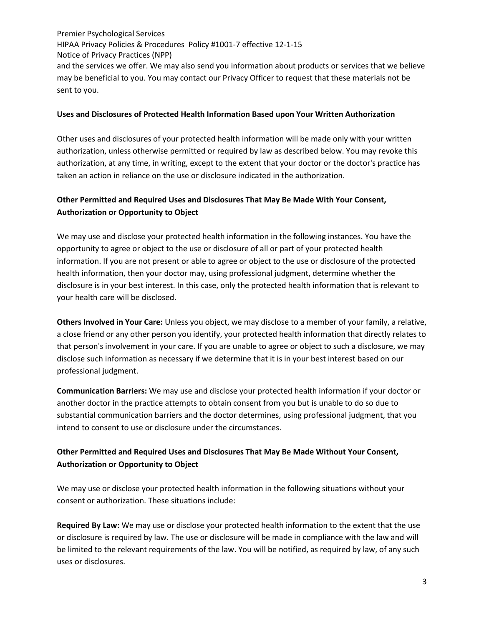Premier Psychological Services HIPAA Privacy Policies & Procedures Policy #1001-7 effective 12-1-15 Notice of Privacy Practices (NPP) and the services we offer. We may also send you information about products or services that we believe may be beneficial to you. You may contact our Privacy Officer to request that these materials not be sent to you.

#### **Uses and Disclosures of Protected Health Information Based upon Your Written Authorization**

Other uses and disclosures of your protected health information will be made only with your written authorization, unless otherwise permitted or required by law as described below. You may revoke this authorization, at any time, in writing, except to the extent that your doctor or the doctor's practice has taken an action in reliance on the use or disclosure indicated in the authorization.

# **Other Permitted and Required Uses and Disclosures That May Be Made With Your Consent, Authorization or Opportunity to Object**

We may use and disclose your protected health information in the following instances. You have the opportunity to agree or object to the use or disclosure of all or part of your protected health information. If you are not present or able to agree or object to the use or disclosure of the protected health information, then your doctor may, using professional judgment, determine whether the disclosure is in your best interest. In this case, only the protected health information that is relevant to your health care will be disclosed.

**Others Involved in Your Care:** Unless you object, we may disclose to a member of your family, a relative, a close friend or any other person you identify, your protected health information that directly relates to that person's involvement in your care. If you are unable to agree or object to such a disclosure, we may disclose such information as necessary if we determine that it is in your best interest based on our professional judgment.

**Communication Barriers:** We may use and disclose your protected health information if your doctor or another doctor in the practice attempts to obtain consent from you but is unable to do so due to substantial communication barriers and the doctor determines, using professional judgment, that you intend to consent to use or disclosure under the circumstances.

# **Other Permitted and Required Uses and Disclosures That May Be Made Without Your Consent, Authorization or Opportunity to Object**

We may use or disclose your protected health information in the following situations without your consent or authorization. These situations include:

**Required By Law:** We may use or disclose your protected health information to the extent that the use or disclosure is required by law. The use or disclosure will be made in compliance with the law and will be limited to the relevant requirements of the law. You will be notified, as required by law, of any such uses or disclosures.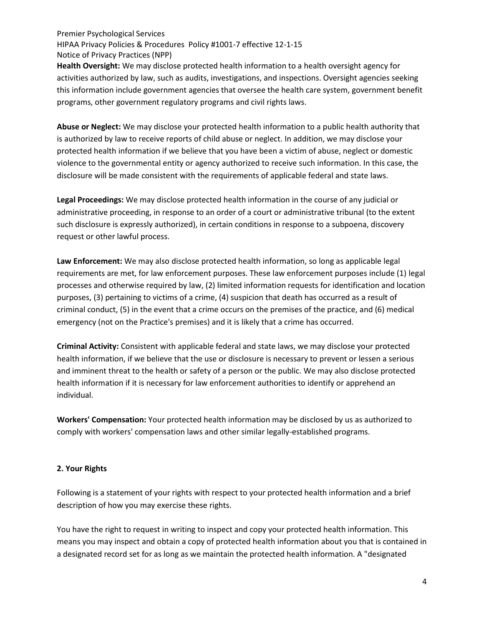## Premier Psychological Services HIPAA Privacy Policies & Procedures Policy #1001-7 effective 12-1-15 Notice of Privacy Practices (NPP)

**Health Oversight:** We may disclose protected health information to a health oversight agency for activities authorized by law, such as audits, investigations, and inspections. Oversight agencies seeking this information include government agencies that oversee the health care system, government benefit programs, other government regulatory programs and civil rights laws.

**Abuse or Neglect:** We may disclose your protected health information to a public health authority that is authorized by law to receive reports of child abuse or neglect. In addition, we may disclose your protected health information if we believe that you have been a victim of abuse, neglect or domestic violence to the governmental entity or agency authorized to receive such information. In this case, the disclosure will be made consistent with the requirements of applicable federal and state laws.

**Legal Proceedings:** We may disclose protected health information in the course of any judicial or administrative proceeding, in response to an order of a court or administrative tribunal (to the extent such disclosure is expressly authorized), in certain conditions in response to a subpoena, discovery request or other lawful process.

**Law Enforcement:** We may also disclose protected health information, so long as applicable legal requirements are met, for law enforcement purposes. These law enforcement purposes include (1) legal processes and otherwise required by law, (2) limited information requests for identification and location purposes, (3) pertaining to victims of a crime, (4) suspicion that death has occurred as a result of criminal conduct, (5) in the event that a crime occurs on the premises of the practice, and (6) medical emergency (not on the Practice's premises) and it is likely that a crime has occurred.

**Criminal Activity:** Consistent with applicable federal and state laws, we may disclose your protected health information, if we believe that the use or disclosure is necessary to prevent or lessen a serious and imminent threat to the health or safety of a person or the public. We may also disclose protected health information if it is necessary for law enforcement authorities to identify or apprehend an individual.

**Workers' Compensation:** Your protected health information may be disclosed by us as authorized to comply with workers' compensation laws and other similar legally-established programs.

## **2. Your Rights**

Following is a statement of your rights with respect to your protected health information and a brief description of how you may exercise these rights.

You have the right to request in writing to inspect and copy your protected health information. This means you may inspect and obtain a copy of protected health information about you that is contained in a designated record set for as long as we maintain the protected health information. A "designated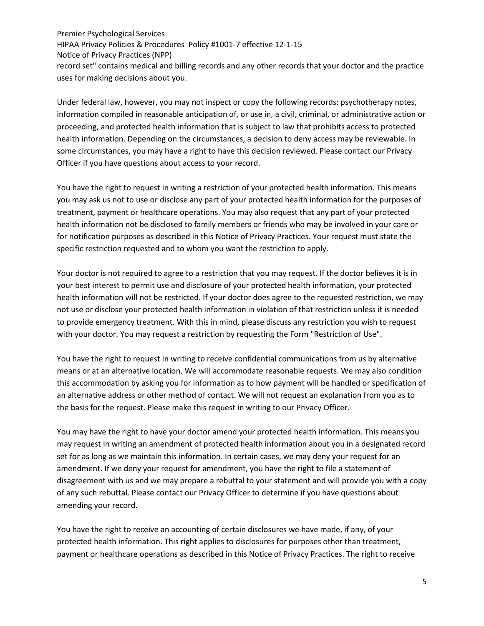Premier Psychological Services HIPAA Privacy Policies & Procedures Policy #1001-7 effective 12-1-15 Notice of Privacy Practices (NPP) record set" contains medical and billing records and any other records that your doctor and the practice uses for making decisions about you.

Under federal law, however, you may not inspect or copy the following records: psychotherapy notes, information compiled in reasonable anticipation of, or use in, a civil, criminal, or administrative action or proceeding, and protected health information that is subject to law that prohibits access to protected health information. Depending on the circumstances, a decision to deny access may be reviewable. In some circumstances, you may have a right to have this decision reviewed. Please contact our Privacy Officer if you have questions about access to your record.

You have the right to request in writing a restriction of your protected health information. This means you may ask us not to use or disclose any part of your protected health information for the purposes of treatment, payment or healthcare operations. You may also request that any part of your protected health information not be disclosed to family members or friends who may be involved in your care or for notification purposes as described in this Notice of Privacy Practices. Your request must state the specific restriction requested and to whom you want the restriction to apply.

Your doctor is not required to agree to a restriction that you may request. If the doctor believes it is in your best interest to permit use and disclosure of your protected health information, your protected health information will not be restricted. If your doctor does agree to the requested restriction, we may not use or disclose your protected health information in violation of that restriction unless it is needed to provide emergency treatment. With this in mind, please discuss any restriction you wish to request with your doctor. You may request a restriction by requesting the Form "Restriction of Use".

You have the right to request in writing to receive confidential communications from us by alternative means or at an alternative location. We will accommodate reasonable requests. We may also condition this accommodation by asking you for information as to how payment will be handled or specification of an alternative address or other method of contact. We will not request an explanation from you as to the basis for the request. Please make this request in writing to our Privacy Officer.

You may have the right to have your doctor amend your protected health information. This means you may request in writing an amendment of protected health information about you in a designated record set for as long as we maintain this information. In certain cases, we may deny your request for an amendment. If we deny your request for amendment, you have the right to file a statement of disagreement with us and we may prepare a rebuttal to your statement and will provide you with a copy of any such rebuttal. Please contact our Privacy Officer to determine if you have questions about amending your record.

You have the right to receive an accounting of certain disclosures we have made, if any, of your protected health information. This right applies to disclosures for purposes other than treatment, payment or healthcare operations as described in this Notice of Privacy Practices. The right to receive